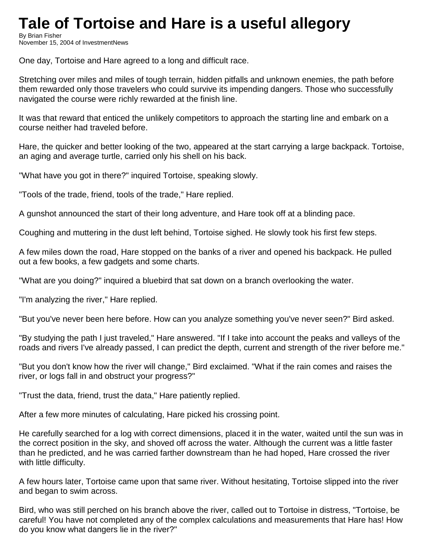## **Tale of Tortoise and Hare is a useful allegory**

By Brian Fisher November 15, 2004 of InvestmentNews

One day, Tortoise and Hare agreed to a long and difficult race.

Stretching over miles and miles of tough terrain, hidden pitfalls and unknown enemies, the path before them rewarded only those travelers who could survive its impending dangers. Those who successfully navigated the course were richly rewarded at the finish line.

It was that reward that enticed the unlikely competitors to approach the starting line and embark on a course neither had traveled before.

Hare, the quicker and better looking of the two, appeared at the start carrying a large backpack. Tortoise, an aging and average turtle, carried only his shell on his back.

"What have you got in there?" inquired Tortoise, speaking slowly.

"Tools of the trade, friend, tools of the trade," Hare replied.

A gunshot announced the start of their long adventure, and Hare took off at a blinding pace.

Coughing and muttering in the dust left behind, Tortoise sighed. He slowly took his first few steps.

A few miles down the road, Hare stopped on the banks of a river and opened his backpack. He pulled out a few books, a few gadgets and some charts.

"What are you doing?" inquired a bluebird that sat down on a branch overlooking the water.

"I'm analyzing the river," Hare replied.

"But you've never been here before. How can you analyze something you've never seen?" Bird asked.

"By studying the path I just traveled," Hare answered. "If I take into account the peaks and valleys of the roads and rivers I've already passed, I can predict the depth, current and strength of the river before me."

"But you don't know how the river will change," Bird exclaimed. "What if the rain comes and raises the river, or logs fall in and obstruct your progress?"

"Trust the data, friend, trust the data," Hare patiently replied.

After a few more minutes of calculating, Hare picked his crossing point.

He carefully searched for a log with correct dimensions, placed it in the water, waited until the sun was in the correct position in the sky, and shoved off across the water. Although the current was a little faster than he predicted, and he was carried farther downstream than he had hoped, Hare crossed the river with little difficulty.

A few hours later, Tortoise came upon that same river. Without hesitating, Tortoise slipped into the river and began to swim across.

Bird, who was still perched on his branch above the river, called out to Tortoise in distress, "Tortoise, be careful! You have not completed any of the complex calculations and measurements that Hare has! How do you know what dangers lie in the river?"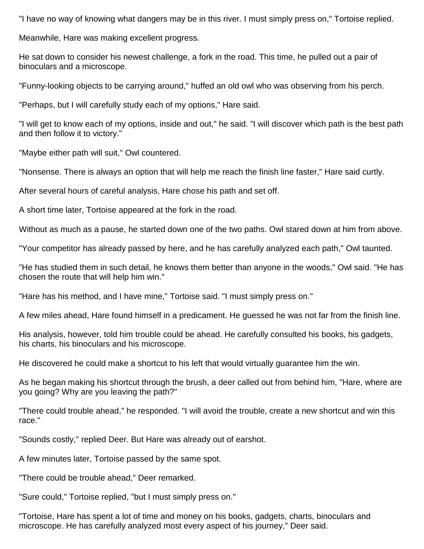"I have no way of knowing what dangers may be in this river. I must simply press on," Tortoise replied.

Meanwhile, Hare was making excellent progress.

He sat down to consider his newest challenge, a fork in the road. This time, he pulled out a pair of binoculars and a microscope.

"Funny-looking objects to be carrying around," huffed an old owl who was observing from his perch.

"Perhaps, but I will carefully study each of my options," Hare said.

"I will get to know each of my options, inside and out," he said. "I will discover which path is the best path and then follow it to victory."

"Maybe either path will suit," Owl countered.

"Nonsense. There is always an option that will help me reach the finish line faster," Hare said curtly.

After several hours of careful analysis, Hare chose his path and set off.

A short time later, Tortoise appeared at the fork in the road.

Without as much as a pause, he started down one of the two paths. Owl stared down at him from above.

"Your competitor has already passed by here, and he has carefully analyzed each path," Owl taunted.

"He has studied them in such detail, he knows them better than anyone in the woods," Owl said. "He has chosen the route that will help him win."

"Hare has his method, and I have mine," Tortoise said. "I must simply press on."

A few miles ahead, Hare found himself in a predicament. He guessed he was not far from the finish line.

His analysis, however, told him trouble could be ahead. He carefully consulted his books, his gadgets, his charts, his binoculars and his microscope.

He discovered he could make a shortcut to his left that would virtually guarantee him the win.

As he began making his shortcut through the brush, a deer called out from behind him, "Hare, where are you going? Why are you leaving the path?"

"There could trouble ahead," he responded. "I will avoid the trouble, create a new shortcut and win this race."

"Sounds costly," replied Deer. But Hare was already out of earshot.

A few minutes later, Tortoise passed by the same spot.

"There could be trouble ahead," Deer remarked.

"Sure could," Tortoise replied, "but I must simply press on."

"Tortoise, Hare has spent a lot of time and money on his books, gadgets, charts, binoculars and microscope. He has carefully analyzed most every aspect of his journey," Deer said.